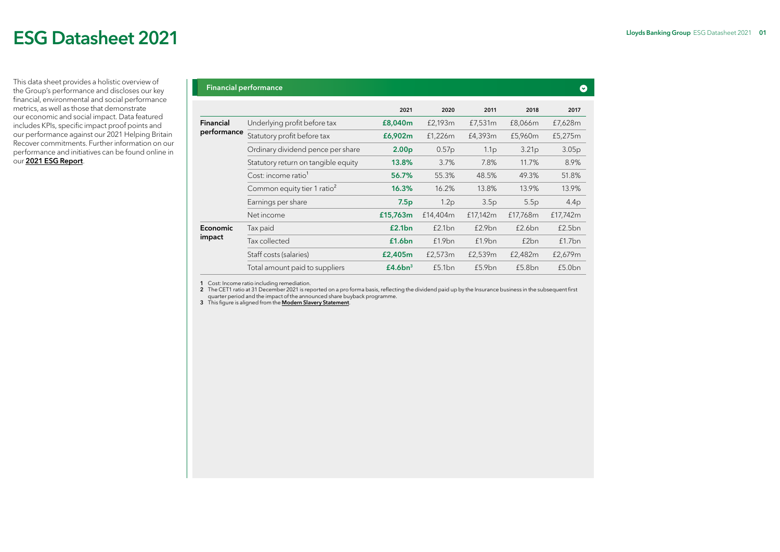# ESG Datasheet 2021

This data sheet provides a holistic overview of the Group's performance and discloses our key financial, environmental and social performance metrics, as well as those that demonstrate our economic and social impact. Data featured includes KPIs, specific impact proof points and our performance against our 2021 Helping Britain Recover commitments. Further information on our performance and initiatives can be found online in our [2021 ESG Report](https://www.lloydsbankinggroup.com/who-we-are/responsible-business/downloads.html).

|                 | <b>THIGHCIGI PUTTOHIGHCU</b>            |                     |                   |                  |                   |          |
|-----------------|-----------------------------------------|---------------------|-------------------|------------------|-------------------|----------|
|                 |                                         | 2021                | 2020              | 2011             | 2018              | 2017     |
| Financial       | Underlying profit before tax            | £8,040m             | £2,193m           | £7,531m          | £8,066m           | £7,628m  |
| performance     | Statutory profit before tax             | £6,902m             | £1,226m           | £4,393m          | £5,960m           | £5,275m  |
|                 | Ordinary dividend pence per share       | 2.00 <sub>p</sub>   | 0.57 <sub>p</sub> | 1.1 <sub>p</sub> | 3.21 <sub>p</sub> | 3.05p    |
|                 | Statutory return on tangible equity     | 13.8%               | $3.7\%$           | 7.8%             | 11.7%             | 8.9%     |
|                 | Cost: income ratio <sup>1</sup>         | 56.7%               | 55.3%             | 48.5%            | 49.3%             | 51.8%    |
|                 | Common equity tier 1 ratio <sup>2</sup> | 16.3%               | 16.2%             | 13.8%            | 13.9%             | 13.9%    |
|                 | Earnings per share                      | 7.5p                | 1.2p              | 3.5p             | 5.5p              | 4.4p     |
|                 | Net income                              | £15,763m            | £14,404m          | £17,142m         | £17,768m          | £17,742m |
| <b>Economic</b> | Tax paid                                | £2.1bn              | £2.1bn            | £2.9bn           | £2.6bn            | £2.5bn   |
| impact          | Tax collected                           | £1.6bn              | £1.9bn            | £1.9bn           | f2bn              | f1.7bn   |
|                 | Staff costs (salaries)                  | £2,405m             | £2,573m           | £2,539m          | £2,482m           | £2,679m  |
|                 | Total amount paid to suppliers          | £4.6bn <sup>3</sup> | £5.1bn            | £5.9bn           | £5.8bn            | £5.0bn   |
|                 |                                         |                     |                   |                  |                   |          |

1 Cost: Income ratio including remediation.

2 The CET1 ratio at 31 December 2021 is reported on a pro forma basis, reflecting the dividend paid up by the Insurance business in the subsequent first<br>quarter period and the impact of the announced share buyback progra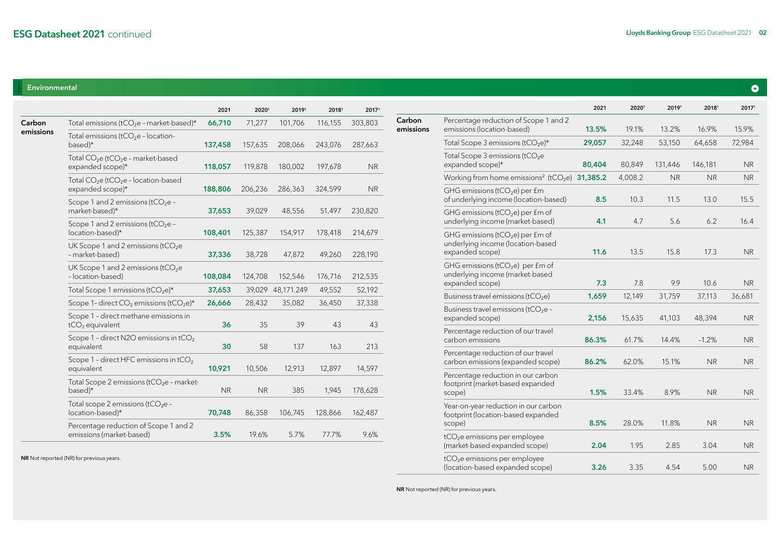## Environmental

|           |                                                                                | 2021      | 20201     | 20191      | 20181   | 20171     |
|-----------|--------------------------------------------------------------------------------|-----------|-----------|------------|---------|-----------|
| Carbon    | Total emissions ( $tCO2e$ - market-based)*                                     | 66,710    | 71,277    | 101,706    | 116,155 | 303,803   |
| emissions | Total emissions (tCO <sub>2</sub> e - location-<br>based)*                     | 137,458   | 157,635   | 208,066    | 243,076 | 287,663   |
|           | Total CO <sub>2</sub> e (tCO <sub>2</sub> e - market-based<br>expanded scope)* | 118,057   | 119,878   | 180,002    | 197,678 | <b>NR</b> |
|           | Total $CO2e$ (tCO <sub>2</sub> e - location-based<br>expanded scope)*          | 188,806   | 206,236   | 286,363    | 324,599 | <b>NR</b> |
|           | Scope 1 and 2 emissions ( $tCO2e -$<br>market-based)*                          | 37,653    | 39,029    | 48,556     | 51,497  | 230,820   |
|           | Scope 1 and 2 emissions ( $tCO2e -$<br>location-based)*                        | 108,401   | 125,387   | 154,917    | 178,418 | 214,679   |
|           | UK Scope 1 and 2 emissions (tCO <sub>2</sub> e<br>- market-based)              | 37,336    | 38,728    | 47,872     | 49,260  | 228,190   |
|           | UK Scope 1 and 2 emissions ( $tCO2e$<br>- location-based)                      | 108,084   | 124,708   | 152,546    | 176,716 | 212,535   |
|           | Total Scope 1 emissions ( $tCO2e$ )*                                           | 37,653    | 39,029    | 48,171.249 | 49,552  | 52,192    |
|           | Scope 1- direct CO <sub>2</sub> emissions (tCO <sub>2</sub> e)*                | 26,666    | 28,432    | 35,082     | 36,450  | 37,338    |
|           | Scope 1 - direct methane emissions in<br>$tCO2$ equivalent                     | 36        | 35        | 39         | 43      | 43        |
|           | Scope 1 - direct N2O emissions in tCO <sub>2</sub><br>equivalent               | 30        | 58        | 137        | 163     | 213       |
|           | Scope 1 - direct HFC emissions in tCO <sub>2</sub><br>equivalent               | 10,921    | 10,506    | 12,913     | 12,897  | 14,597    |
|           | Total Scope 2 emissions ( $tCO2e$ - market-<br>based)*                         | <b>NR</b> | <b>NR</b> | 385        | 1,945   | 178,628   |
|           | Total scope 2 emissions (tCO <sub>2</sub> e -<br>location-based)*              | 70,748    | 86,358    | 106,745    | 128,866 | 162,487   |
|           | Percentage reduction of Scope 1 and 2<br>emissions (market-based)              | 3.5%      | 19.6%     | 5.7%       | 77.7%   | 9.6%      |

NR Not reported (NR) for previous years.

|                     |                                                                                                    | 2021   | 20201   | 20191     | 20181     | 2017 <sup>1</sup> |
|---------------------|----------------------------------------------------------------------------------------------------|--------|---------|-----------|-----------|-------------------|
| Carbon<br>emissions | Percentage reduction of Scope 1 and 2<br>emissions (location-based)                                | 13.5%  | 19.1%   | 13.2%     | 16.9%     | 15.9%             |
|                     | Total Scope 3 emissions ( $tCO2e$ )*                                                               | 29,057 | 32,248  | 53,150    | 64,658    | 72,984            |
|                     | Total Scope 3 emissions (tCO <sub>2</sub> e<br>expanded scope)*                                    | 80,404 | 80,849  | 131,446   | 146,181   | NR.               |
|                     | Working from home emissions <sup>2</sup> ( $tCO2e$ ) 31,385.2                                      |        | 4,008.2 | <b>NR</b> | <b>NR</b> | NR.               |
|                     | GHG emissions ( $tCO2e$ ) per £m<br>of underlying income (location-based)                          | 8.5    | 10.3    | 11.5      | 13.0      | 15.5              |
|                     | GHG emissions ( $tCO2e$ ) per £m of<br>underlying income (market-based)                            | 4.1    | 4.7     | 5.6       | 6.2       | 16.4              |
|                     | GHG emissions ( $tCO2e$ ) per £m of<br>underlying income (location-based<br>expanded scope)        | 11.6   | 13.5    | 15.8      | 17.3      | <b>NR</b>         |
|                     | GHG emissions (tCO <sub>2</sub> e) per £m of<br>underlying income (market-based<br>expanded scope) | 7.3    | 7.8     | 9.9       | 10.6      | NR.               |
|                     | Business travel emissions (tCO <sub>2</sub> e)                                                     | 1,659  | 12,149  | 31,759    | 37,113    | 36,681            |
|                     | Business travel emissions (tCO <sub>2</sub> e -<br>expanded scope)                                 | 2,156  | 15,635  | 41,103    | 48,394    | <b>NR</b>         |
|                     | Percentage reduction of our travel<br>carbon emissions                                             | 86.3%  | 61.7%   | 14.4%     | $-1.2%$   | NR.               |
|                     | Percentage reduction of our travel<br>carbon emissions (expanded scope)                            | 86.2%  | 62.0%   | 15.1%     | <b>NR</b> | <b>NR</b>         |
|                     | Percentage reduction in our carbon<br>footprint (market-based expanded<br>scope)                   | 1.5%   | 33.4%   | 8.9%      | <b>NR</b> | <b>NR</b>         |
|                     | Year-on-year reduction in our carbon<br>footprint (location-based expanded<br>scope)               | 8.5%   | 28.0%   | 11.8%     | <b>NR</b> | <b>NR</b>         |
|                     | $tCO2e$ emissions per employee<br>(market-based expanded scope)                                    | 2.04   | 1.95    | 2.85      | 3.04      | <b>NR</b>         |
|                     | tCO <sub>2</sub> e emissions per employee<br>(location-based expanded scope)                       | 3.26   | 3.35    | 4.54      | 5.00      | <b>NR</b>         |

NR Not reported (NR) for previous years.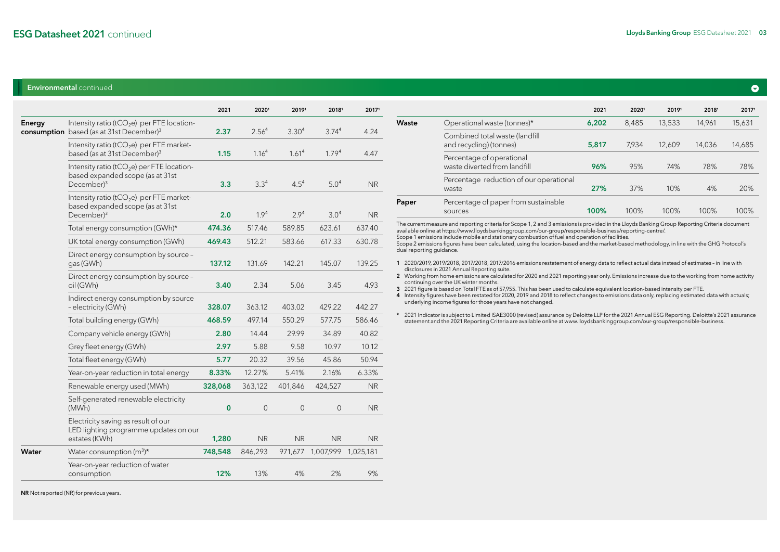#### Environmental continued

|        |                                                                                                                      | 2021     | 20201             | 20191             | 20181             | 20171          |
|--------|----------------------------------------------------------------------------------------------------------------------|----------|-------------------|-------------------|-------------------|----------------|
| Energy | Intensity ratio (tCO <sub>2</sub> e) per FTE location-<br>consumption based (as at 31st December) <sup>3</sup>       | 2.37     | 2.56 <sup>4</sup> | 3.30 <sup>4</sup> | 3.74 <sup>4</sup> | 4.24           |
|        | Intensity ratio ( $tCO2e$ ) per FTE market-<br>based (as at 31st December) <sup>3</sup>                              | 1.15     | 1.16 <sup>4</sup> | 1.61 <sup>4</sup> | 1.79 <sup>4</sup> | 4.47           |
|        | Intensity ratio (tCO <sub>2</sub> e) per FTE location-<br>based expanded scope (as at 31st<br>December) <sup>3</sup> | 3.3      | 3.3 <sup>4</sup>  | $4.5^{4}$         | 5.0 <sup>4</sup>  | <b>NR</b>      |
|        | Intensity ratio ( $tCO2e$ ) per FTE market-<br>based expanded scope (as at 31st<br>December) <sup>3</sup>            | 2.0      | 1.9 <sup>4</sup>  | 2.9 <sup>4</sup>  | 3.0 <sup>4</sup>  | <b>NR</b>      |
|        | Total energy consumption (GWh)*                                                                                      | 474.36   | 517.46            | 589.85            | 623.61            | 637.40         |
|        | UK total energy consumption (GWh)                                                                                    | 469.43   | 512.21            | 583.66            | 617.33            | 630.78         |
|        | Direct energy consumption by source -<br>gas (GWh)                                                                   | 137.12   | 131.69            | 142.21            | 145.07            | 139.25         |
|        | Direct energy consumption by source -<br>oil (GWh)                                                                   | 3.40     | 2.34              | 5.06              | 3.45              | 4.93           |
|        | Indirect energy consumption by source<br>- electricity (GWh)                                                         | 328.07   | 363.12            | 403.02            | 429.22            | 442.27         |
|        | Total building energy (GWh)                                                                                          | 468.59   | 497.14            | 550.29            | 577.75            | 586.46         |
|        | Company vehicle energy (GWh)                                                                                         | 2.80     | 14.44             | 29.99             | 34.89             | 40.82          |
|        | Grey fleet energy (GWh)                                                                                              | 2.97     | 5.88              | 9.58              | 10.97             | 10.12          |
|        | Total fleet energy (GWh)                                                                                             | 5.77     | 20.32             | 39.56             | 45.86             | 50.94          |
|        | Year-on-year reduction in total energy                                                                               | 8.33%    | 12.27%            | 5.41%             | 2.16%             | 6.33%          |
|        | Renewable energy used (MWh)                                                                                          | 328,068  | 363,122           | 401,846           | 424,527           | <b>NR</b>      |
|        | Self-generated renewable electricity<br>(MWh)                                                                        | $\bf{0}$ | $\mathbf 0$       | $\overline{0}$    | $\mathbf 0$       | <b>NR</b>      |
|        | Electricity saving as result of our<br>LED lighting programme updates on our<br>estates (KWh)                        | 1,280    | <b>NR</b>         | <b>NR</b>         | <b>NR</b>         | N <sub>R</sub> |
| Water  | Water consumption $(m^3)^*$                                                                                          | 748,548  | 846,293           | 971,677           | 1,007,999         | 1,025,181      |
|        | Year-on-year reduction of water<br>consumption                                                                       | 12%      | 13%               | 4%                | 2%                | 9%             |
|        |                                                                                                                      |          |                   |                   |                   |                |

|       |                                                           | 2021  | 20201 | 20191  | 20181  | 20171  |
|-------|-----------------------------------------------------------|-------|-------|--------|--------|--------|
| Waste | Operational waste (tonnes)*                               | 6,202 | 8,485 | 13,533 | 14.961 | 15,631 |
|       | Combined total waste (landfill<br>and recycling) (tonnes) | 5,817 | 7.934 | 12.609 | 14,036 | 14,685 |
|       | Percentage of operational<br>waste diverted from landfill | 96%   | 95%   | 74%    | 78%    | 78%    |
|       | Percentage reduction of our operational<br>waste          | 27%   | 37%   | 10%    | 4%     | 20%    |
| Paper | Percentage of paper from sustainable<br>sources           | 100%  | 100%  | 100%   | 100%   | 100%   |
|       |                                                           |       |       |        |        |        |

The current measure and reporting criteria for Scope 1, 2 and 3 emissions is provided in the Lloyds Banking Group Reporting Criteria document available online at https://www.lloydsbankinggroup.com/our-group/responsible-business/reporting-centre/.

Scope 1 emissions include mobile and stationary combustion of fuel and operation of facilities.

Scope 2 emissions figures have been calculated, using the location-based and the market-based methodology, in line with the GHG Protocol's dual reporting guidance.

- 1 2020/2019, 2019/2018, 2017/2018, 2017/2016 emissions restatement of energy data to reflect actual data instead of estimates in line with
- disclosures in 2021 Annual Reporting suite. 2 Working from home emissions are calculated for 2020 and 2021 reporting year only. Emissions increase due to the working from home activity continuing over the UK winter months.
- 3 2021 figure is based on Total FTE as of 57,955. This has been used to calculate equivalent location-based intensity per FTE.
- 4 Intensity figures have been restated for 2020, 2019 and 2018 to reflect changes to emissions data only, replacing estimated data with actuals; underlying income figures for those years have not changed.
- \* 2021 Indicator is subject to Limited ISAE3000 (revised) assurance by Deloitte LLP for the 2021 Annual ESG Reporting. Deloitte's 2021 assurance statement and the 2021 Reporting Criteria are available online at www.lloydsbankinggroup.com/our-group/responsible-business.

NR Not reported (NR) for previous years.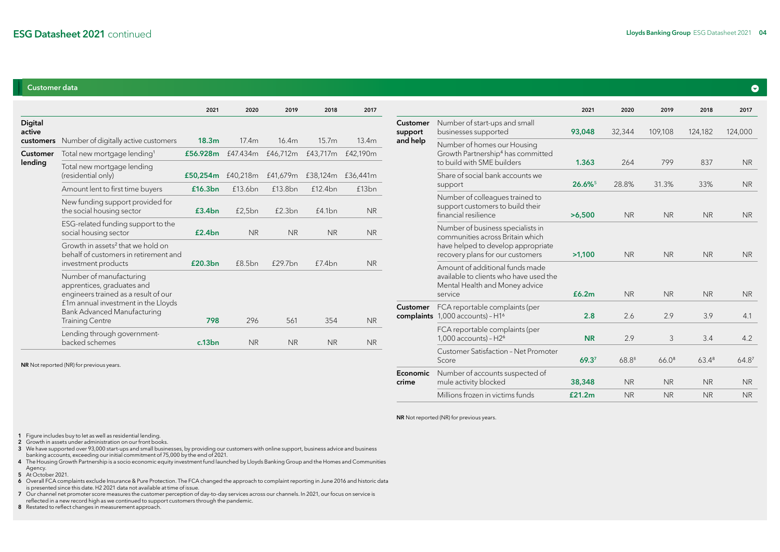### Customer data

|                   |                                                                                                                                                                                               | 2021              | 2020              | 2019               | 2018                       | 2017      |
|-------------------|-----------------------------------------------------------------------------------------------------------------------------------------------------------------------------------------------|-------------------|-------------------|--------------------|----------------------------|-----------|
| Digital<br>active |                                                                                                                                                                                               |                   |                   |                    |                            |           |
| customers         | Number of digitally active customers                                                                                                                                                          | 18.3 <sub>m</sub> | 17.4m             | 16.4m              | 15.7m                      | 13.4m     |
| <b>Customer</b>   | Total new mortgage lending <sup>1</sup>                                                                                                                                                       | £56.928m          | £47.434m          | £46,712m           | £43,717m                   | £42,190m  |
| lending           | Total new mortgage lending<br>(residential only)                                                                                                                                              |                   | £50,254m £40,218m |                    | £41,679m £38,124m £36,441m |           |
|                   | Amount lent to first time buyers                                                                                                                                                              | £16.3bn           | £13.6bn           | f13.8bn            | f12.4bn                    | £13bn     |
|                   | New funding support provided for<br>the social housing sector                                                                                                                                 | £3.4bn            | £2,5bn            | £2.3bn             | f4.1bn                     | <b>NR</b> |
|                   | ESG-related funding support to the<br>social housing sector                                                                                                                                   | £2.4bn            | <b>NR</b>         | <b>NR</b>          | <b>NR</b>                  | <b>NR</b> |
|                   | Growth in assets <sup>2</sup> that we hold on<br>behalf of customers in retirement and<br>investment products                                                                                 | £20.3bn           | <b>f8.5bn</b>     | f297 <sub>bn</sub> | f7.4bn                     | <b>NR</b> |
|                   | Number of manufacturing<br>apprentices, graduates and<br>engineers trained as a result of our<br>f1m annual investment in the Lloyds<br>Bank Advanced Manufacturing<br><b>Training Centre</b> | 798               | 296               | 561                | 354                        | <b>NR</b> |
|                   | Lending through government-<br>backed schemes                                                                                                                                                 | c.13bn            | <b>NR</b>         | <b>NR</b>          | <b>NR</b>                  | <b>NR</b> |

| NR Not reported (NR) for previous years. |  |
|------------------------------------------|--|
|------------------------------------------|--|

|                     |                                                                                                                                                 | 2021      | 2020       | 2019              | 2018       | 2017              |
|---------------------|-------------------------------------------------------------------------------------------------------------------------------------------------|-----------|------------|-------------------|------------|-------------------|
| Customer<br>support | Number of start-ups and small<br>businesses supported                                                                                           | 93,048    | 32,344     | 109,108           | 124,182    | 124,000           |
| and help            | Number of homes our Housing<br>Growth Partnership <sup>4</sup> has committed<br>to build with SME builders                                      | 1.363     | 264        | 799               | 837        | <b>NR</b>         |
|                     | Share of social bank accounts we<br>support                                                                                                     | 26.6%     | 28.8%      | 31.3%             | 33%        | <b>NR</b>         |
|                     | Number of colleagues trained to<br>support customers to build their<br>financial resilience                                                     | >6,500    | <b>NR</b>  | <b>NR</b>         | <b>NR</b>  | <b>NR</b>         |
|                     | Number of business specialists in<br>communities across Britain which<br>have helped to develop appropriate<br>recovery plans for our customers | >1,100    | <b>NR</b>  | <b>NR</b>         | <b>NR</b>  | <b>NR</b>         |
|                     | Amount of additional funds made<br>available to clients who have used the<br>Mental Health and Money advice<br>service                          | £6.2m     | <b>NR</b>  | <b>NR</b>         | <b>NR</b>  | <b>NR</b>         |
| Customer            | FCA reportable complaints (per<br>complaints 1,000 accounts) - H1 <sup>6</sup>                                                                  | 2.8       | 2.6        | 2.9               | 3.9        | 4.1               |
|                     | FCA reportable complaints (per<br>$1,000$ accounts) - $H26$                                                                                     | <b>NR</b> | 2.9        | 3                 | 3.4        | 4.2               |
|                     | Customer Satisfaction - Net Promoter<br>Score                                                                                                   | 69.37     | $68.8^{8}$ | 66.0 <sup>8</sup> | $63.4^{8}$ | 64.8 <sup>7</sup> |
| Economic<br>crime   | Number of accounts suspected of<br>mule activity blocked                                                                                        | 38,348    | <b>NR</b>  | <b>NR</b>         | <b>NR</b>  | <b>NR</b>         |
|                     | Millions frozen in victims funds                                                                                                                | £21.2m    | <b>NR</b>  | <b>NR</b>         | <b>NR</b>  | <b>NR</b>         |

NR Not reported (NR) for previous years.

1 Figure includes buy to let as well as residential lending. 2 Growth in assets under administration on our front books.

3 We have supported over 93,000 start-ups and small businesses, by providing our customers with online support, business advice and business banking accounts, exceeding our initial commitment of 75,000 by the end of 2021.

4 The Housing Growth Partnership is a socio economic equity investment fund launched by Lloyds Banking Group and the Homes and Communities Agency.

5 At October 2021.

6 Overall FCA complaints exclude Insurance & Pure Protection. The FCA changed the approach to complaint reporting in June 2016 and historic data is presented since this date. H2 2021 data not available at time of issue.

7 Our channel net promoter score measures the customer perception of day-to-day services across our channels. In 2021, our focus on service is reflected in a new record high as we continued to support customers through the pandemic.

8 Restated to reflect changes in measurement approach.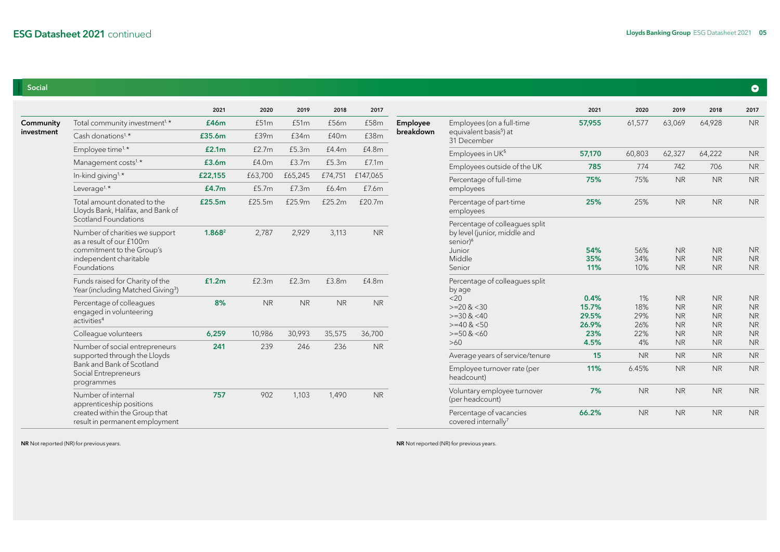## Social

|            |                                                                                                                   | 2021    | 2020      | 2019      | 2018      | 2017      |           |                                                                                                            | 2021                            | 2020                    | 2019                                             | 2018                                             | 2017                                             |           |           |           |
|------------|-------------------------------------------------------------------------------------------------------------------|---------|-----------|-----------|-----------|-----------|-----------|------------------------------------------------------------------------------------------------------------|---------------------------------|-------------------------|--------------------------------------------------|--------------------------------------------------|--------------------------------------------------|-----------|-----------|-----------|
| Community  | Total community investment <sup>1,*</sup>                                                                         | £46m    | £51m      | £51m      | £56m      | £58m      | Employee  | Employees (on a full-time                                                                                  | 57,955                          | 61,577                  | 63,069                                           | 64,928                                           | <b>NR</b>                                        |           |           |           |
| investment | Cash donations <sup>1,*</sup>                                                                                     | £35.6m  | £39m      | £34m      | £40m      | £38m      | breakdown | equivalent basis <sup>5</sup> ) at<br>31 December                                                          |                                 |                         |                                                  |                                                  |                                                  |           |           |           |
|            | Employee time <sup>1,*</sup>                                                                                      | £2.1m   | £2.7m     | £5.3m     | £4.4m     | £4.8m     |           | Employees in UK5                                                                                           | 57,170                          | 60,803                  | 62,327                                           | 64,222                                           | <b>NR</b>                                        |           |           |           |
|            | Management costs <sup>1,*</sup>                                                                                   | £3.6m   | £4.0m     | £3.7m     | £5.3m     | £7.1m     |           | Employees outside of the UK                                                                                | 785                             | 774                     | 742                                              | 706                                              | <b>NR</b>                                        |           |           |           |
|            | In-kind giving <sup>1,*</sup>                                                                                     | £22,155 | £63,700   | £65,245   | £74,751   | £147,065  |           | Percentage of full-time                                                                                    | 75%                             | 75%                     | <b>NR</b>                                        | <b>NR</b>                                        | <b>NR</b>                                        |           |           |           |
|            | Leverage <sup>1, <math>\star</math></sup>                                                                         | £4.7m   | £5.7m     | £7.3m     | £6.4m     | £7.6m     |           | employees                                                                                                  |                                 |                         |                                                  |                                                  |                                                  |           |           |           |
|            | Total amount donated to the<br>Lloyds Bank, Halifax, and Bank of<br>Scotland Foundations                          | £25.5m  | £25.5m    | £25.9m    | £25.2m    | £20.7m    |           | Percentage of part-time<br>employees                                                                       | 25%                             | 25%                     | <b>NR</b>                                        | <b>NR</b>                                        | <b>NR</b>                                        |           |           |           |
|            | Number of charities we support<br>as a result of our £100m<br>commitment to the Group's<br>independent charitable | 1.8682  | 2,787     | 2,929     | 3,113     | <b>NR</b> |           | Percentage of colleagues split<br>by level (junior, middle and<br>senior) <sup>6</sup><br>Junior<br>Middle | 54%<br>35%                      | 56%<br>34%              | <b>NR</b><br><b>NR</b>                           | <b>NR</b><br><b>NR</b>                           | <b>NR</b><br><b>NR</b>                           |           |           |           |
|            | Foundations                                                                                                       |         |           | Senior    | 11%       | 10%       | <b>NR</b> | <b>NR</b>                                                                                                  | <b>NR</b>                       |                         |                                                  |                                                  |                                                  |           |           |           |
|            | Funds raised for Charity of the<br>Year (including Matched Giving <sup>3</sup> )                                  | £1.2m   | £2.3m     | £2.3m     | £3.8m     | £4.8m     |           | Percentage of colleagues split<br>by age                                                                   |                                 |                         |                                                  |                                                  |                                                  |           |           |           |
|            | Percentage of colleagues<br>engaged in volunteering<br>activities <sup>4</sup>                                    | 8%      | <b>NR</b> | <b>NR</b> | <b>NR</b> | <b>NR</b> |           | <20<br>$>=20$ & $<30$<br>$>=30$ & $<40$<br>$>=$ 40 & $<$ 50                                                | 0.4%<br>15.7%<br>29.5%<br>26.9% | 1%<br>18%<br>29%<br>26% | <b>NR</b><br><b>NR</b><br><b>NR</b><br><b>NR</b> | <b>NR</b><br><b>NR</b><br><b>NR</b><br><b>NR</b> | <b>NR</b><br><b>NR</b><br><b>NR</b><br><b>NR</b> |           |           |           |
|            | Colleague volunteers                                                                                              | 6,259   | 10,986    | 30,993    | 35,575    | 36,700    |           | $>=50$ & $<60$                                                                                             | 23%                             | 22%                     | <b>NR</b>                                        | <b>NR</b>                                        | <b>NR</b>                                        |           |           |           |
|            | Number of social entrepreneurs                                                                                    | 241     | 239       | 246       | 236       | <b>NR</b> |           | $>60$                                                                                                      | 4.5%                            | 4%                      | <b>NR</b>                                        | <b>NR</b>                                        | <b>NR</b>                                        |           |           |           |
|            | supported through the Lloyds                                                                                      |         |           |           |           |           |           | Average years of service/tenure                                                                            | 15                              | <b>NR</b>               | <b>NR</b>                                        | <b>NR</b>                                        | <b>NR</b>                                        |           |           |           |
|            | Bank and Bank of Scotland<br>Social Entrepreneurs<br>programmes                                                   |         |           |           |           |           |           |                                                                                                            |                                 |                         | Employee turnover rate (per<br>headcount)        | 11%                                              | 6.45%                                            | <b>NR</b> | <b>NR</b> | <b>NR</b> |
|            | Number of internal<br>apprenticeship positions                                                                    | 757     | 902       | 1,103     | 1,490     | <b>NR</b> |           | Voluntary employee turnover<br>(per headcount)                                                             | 7%                              | N <sub>R</sub>          | <b>NR</b>                                        | <b>NR</b>                                        | <b>NR</b>                                        |           |           |           |
|            | created within the Group that<br>result in permanent employment                                                   |         |           |           |           |           |           | Percentage of vacancies<br>covered internally <sup>7</sup>                                                 | 66.2%                           | <b>NR</b>               | <b>NR</b>                                        | <b>NR</b>                                        | <b>NR</b>                                        |           |           |           |

NR Not reported (NR) for previous years. Note that the set of the set of the set of the set of the set of the set of the set of the set of the set of the set of the set of the set of the set of the set of the set of the se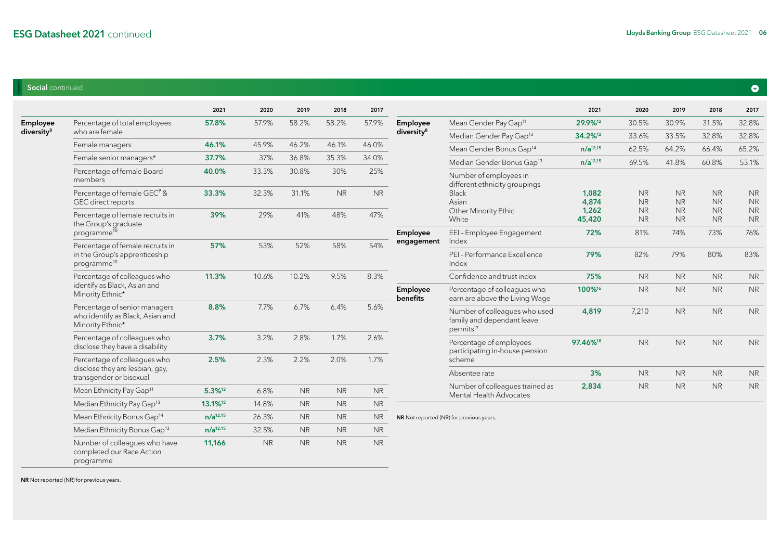## Social continued

|                        |                                                                                              | 2021                | 2020      | 2019      | 2018      | 2017      |                        |                                                                                      | 2021                | 2020                   | 2019                   | 2018                   | 2017                   |
|------------------------|----------------------------------------------------------------------------------------------|---------------------|-----------|-----------|-----------|-----------|------------------------|--------------------------------------------------------------------------------------|---------------------|------------------------|------------------------|------------------------|------------------------|
| Employee               | Percentage of total employees                                                                | 57.8%               | 57.9%     | 58.2%     | 58.2%     | 57.9%     | Employee               | Mean Gender Pay Gap <sup>11</sup>                                                    | 29.9%12             | 30.5%                  | 30.9%                  | 31.5%                  | 32.8%                  |
| diversity <sup>8</sup> | who are female                                                                               |                     |           |           |           |           | diversity <sup>8</sup> | Median Gender Pay Gap <sup>13</sup>                                                  | 34.2% <sup>12</sup> | 33.6%                  | 33.5%                  | 32.8%                  | 32.8%                  |
|                        | Female managers                                                                              | 46.1%               | 45.9%     | 46.2%     | 46.1%     | 46.0%     |                        | Mean Gender Bonus Gap <sup>14</sup>                                                  | $n/a^{12,15}$       | 62.5%                  | 64.2%                  | 66.4%                  | 65.2%                  |
|                        | Female senior managers*                                                                      | 37.7%               | 37%       | 36.8%     | 35.3%     | 34.0%     |                        | Median Gender Bonus Gap <sup>13</sup>                                                | $n/a^{12,15}$       | 69.5%                  | 41.8%                  | 60.8%                  | 53.1%                  |
|                        | Percentage of female Board<br>members                                                        | 40.0%               | 33.3%     | 30.8%     | 30%       | 25%       |                        | Number of employees in<br>different ethnicity groupings                              |                     |                        |                        |                        |                        |
|                        | Percentage of female GEC <sup>9</sup> &<br>GEC direct reports                                | 33.3%               | 32.3%     | 31.1%     | <b>NR</b> | <b>NR</b> |                        | Black<br>Asian                                                                       | 1,082<br>4,874      | <b>NR</b><br><b>NR</b> | <b>NR</b><br><b>NR</b> | <b>NR</b><br><b>NR</b> | <b>NR</b><br><b>NR</b> |
|                        | Percentage of female recruits in<br>the Group's graduate                                     | 39%                 | 29%       | 41%       | 48%       | 47%       |                        | Other Minority Ethic<br>White                                                        | 1,262<br>45,420     | <b>NR</b><br><b>NR</b> | <b>NR</b><br><b>NR</b> | <b>NR</b><br><b>NR</b> | <b>NR</b><br><b>NR</b> |
|                        | programme <sup>10</sup>                                                                      |                     |           |           |           |           | Employee<br>engagement | EEI-Employee Engagement<br>Index                                                     | 72%                 | 81%                    | 74%                    | 73%                    | 76%                    |
|                        | Percentage of female recruits in<br>in the Group's apprenticeship<br>programme <sup>10</sup> | 57%                 | 53%       | 52%       | 58%       | 54%       |                        | PEI - Performance Excellence<br>Index                                                | 79%                 | 82%                    | 79%                    | 80%                    | 83%                    |
|                        | Percentage of colleagues who                                                                 | 11.3%               | 10.6%     | 10.2%     | 9.5%      | 8.3%      |                        | Confidence and trust index                                                           | 75%                 | <b>NR</b>              | <b>NR</b>              | <b>NR</b>              | <b>NR</b>              |
|                        | identify as Black, Asian and<br>Minority Ethnic*                                             |                     |           |           |           |           | Employee<br>benefits   | Percentage of colleagues who<br>earn are above the Living Wage                       | 100%16              | <b>NR</b>              | <b>NR</b>              | <b>NR</b>              | <b>NR</b>              |
|                        | Percentage of senior managers<br>who identify as Black, Asian and<br>Minority Ethnic*        | 8.8%                | 7.7%      | 6.7%      | 6.4%      | 5.6%      |                        | Number of colleagues who used<br>family and dependant leave<br>permits <sup>17</sup> | 4,819               | 7,210                  | <b>NR</b>              | <b>NR</b>              | <b>NR</b>              |
|                        | Percentage of colleagues who<br>disclose they have a disability                              | 3.7%                | 3.2%      | 2.8%      | 1.7%      | 2.6%      |                        | Percentage of employees<br>participating in-house pension                            | 97.46%18            | <b>NR</b>              | <b>NR</b>              | <b>NR</b>              | <b>NR</b>              |
|                        | Percentage of colleagues who                                                                 | 2.5%                | 2.3%      | 2.2%      | 2.0%      | 1.7%      |                        | scheme                                                                               |                     |                        |                        |                        |                        |
|                        | disclose they are lesbian, gay,<br>transgender or bisexual                                   |                     |           |           |           |           |                        | Absentee rate                                                                        | 3%                  | <b>NR</b>              | <b>NR</b>              | <b>NR</b>              | <b>NR</b>              |
|                        | Mean Ethnicity Pay Gap <sup>11</sup>                                                         | 5.3%12              | 6.8%      | <b>NR</b> | <b>NR</b> | <b>NR</b> |                        | Number of colleagues trained as<br>Mental Health Advocates                           | 2,834               | <b>NR</b>              | <b>NR</b>              | <b>NR</b>              | <b>NR</b>              |
|                        | Median Ethnicity Pay Gap <sup>13</sup>                                                       | 13.1% <sup>12</sup> | 14.8%     | <b>NR</b> | <b>NR</b> | <b>NR</b> |                        |                                                                                      |                     |                        |                        |                        |                        |
|                        | Mean Ethnicity Bonus Gap <sup>14</sup>                                                       | $n/a^{12,15}$       | 26.3%     | <b>NR</b> | <b>NR</b> | <b>NR</b> |                        | NR Not reported (NR) for previous years.                                             |                     |                        |                        |                        |                        |
|                        | Median Ethnicity Bonus Gap <sup>13</sup>                                                     | $n/a^{12,15}$       | 32.5%     | <b>NR</b> | <b>NR</b> | <b>NR</b> |                        |                                                                                      |                     |                        |                        |                        |                        |
|                        | Number of colleagues who have                                                                | 11,166              | <b>NR</b> | <b>NR</b> | <b>NR</b> | <b>NR</b> |                        |                                                                                      |                     |                        |                        |                        |                        |

NR Not reported (NR) for previous years.

programme

completed our Race Action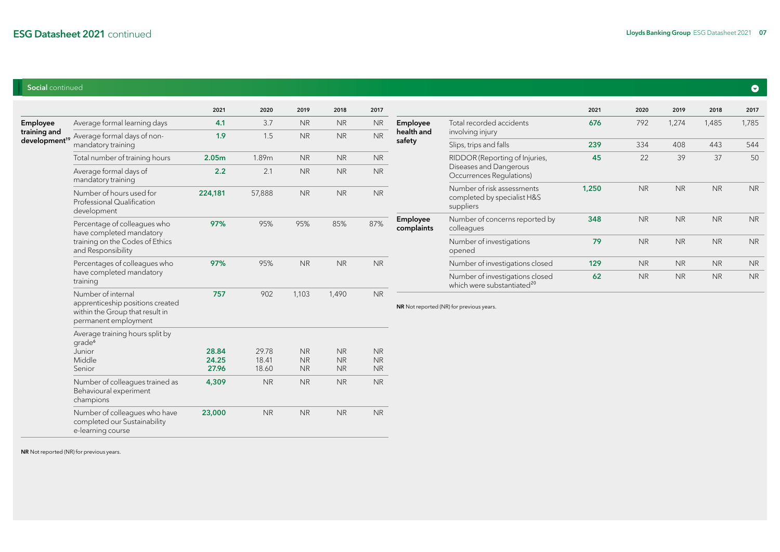## Social continued

|              |                                                                                                                   | 2021              | 2020           | 2019                   | 2018                       | 2017                 |                        |                                                                        | 2021                                                                      | 2020      | 2019      | 2018      | 2017      |
|--------------|-------------------------------------------------------------------------------------------------------------------|-------------------|----------------|------------------------|----------------------------|----------------------|------------------------|------------------------------------------------------------------------|---------------------------------------------------------------------------|-----------|-----------|-----------|-----------|
| Employee     | Average formal learning days                                                                                      | 4.1               | 3.7            | <b>NR</b>              | <b>NR</b>                  | <b>NR</b>            | Employee               | Total recorded accidents                                               | 676                                                                       | 792       | 1,274     | 1,485     | 1,785     |
| training and | development <sup>19</sup> Average formal days of non-                                                             | 1.9               | 1.5            | <b>NR</b>              | <b>NR</b>                  | <b>NR</b>            | health and<br>safety   | involving injury                                                       |                                                                           |           |           |           |           |
|              | mandatory training                                                                                                |                   |                |                        |                            |                      |                        | Slips, trips and falls                                                 | 239                                                                       | 334       | 408       | 443       | 544       |
|              | Total number of training hours                                                                                    | 2.05 <sub>m</sub> | 1.89m          | <b>NR</b>              | N <sub>R</sub>             | <b>NR</b>            |                        | RIDDOR (Reporting of Injuries,                                         | 45                                                                        | 22        | 39        | 37        | 50        |
|              | Average formal days of<br>mandatory training                                                                      | 2.2               | 2.1            | <b>NR</b>              | <b>NR</b>                  | <b>NR</b>            |                        | Diseases and Dangerous<br>Occurrences Regulations)                     |                                                                           |           |           |           |           |
|              | Number of hours used for<br>Professional Qualification<br>development                                             | 224,181           | 57,888         | <b>NR</b>              | <b>NR</b>                  | $\sf NR$             |                        | Number of risk assessments<br>completed by specialist H&S<br>suppliers | 1,250                                                                     | <b>NR</b> | <b>NR</b> | <b>NR</b> | <b>NR</b> |
|              | Percentage of colleagues who<br>have completed mandatory                                                          | 97%               | 95%            | 95%                    | 85%                        | 87%                  | Employee<br>complaints | Number of concerns reported by<br>colleagues                           | 348                                                                       | <b>NR</b> | <b>NR</b> | <b>NR</b> | <b>NR</b> |
|              | training on the Codes of Ethics<br>and Responsibility                                                             |                   |                |                        |                            |                      |                        | Number of investigations<br>opened                                     | 79                                                                        | <b>NR</b> | <b>NR</b> | <b>NR</b> | <b>NR</b> |
|              | Percentages of colleagues who                                                                                     | 97%               | 95%            | <b>NR</b>              | <b>NR</b>                  | <b>NR</b>            |                        | Number of investigations closed                                        | 129                                                                       | <b>NR</b> | <b>NR</b> | <b>NR</b> | <b>NR</b> |
|              | have completed mandatory<br>training                                                                              |                   |                |                        |                            |                      |                        |                                                                        | Number of investigations closed<br>which were substantiated <sup>20</sup> | 62        | <b>NR</b> | <b>NR</b> | <b>NR</b> |
|              | Number of internal<br>apprenticeship positions created<br>within the Group that result in<br>permanent employment | 757               | 902            | 1,103                  | 1,490                      | $\sf NR$             |                        | NR Not reported (NR) for previous years.                               |                                                                           |           |           |           |           |
|              | Average training hours split by<br>grade <sup>6</sup>                                                             |                   |                |                        |                            |                      |                        |                                                                        |                                                                           |           |           |           |           |
|              | Junior                                                                                                            | 28.84             | 29.78          | <b>NR</b>              | $\sf NR$                   | <b>NR</b>            |                        |                                                                        |                                                                           |           |           |           |           |
|              | Middle<br>Senior                                                                                                  | 24.25<br>27.96    | 18.41<br>18.60 | <b>NR</b><br><b>NR</b> | $\sf NR$<br>N <sub>R</sub> | $\sf NR$<br>$\sf NR$ |                        |                                                                        |                                                                           |           |           |           |           |
|              |                                                                                                                   |                   |                |                        |                            |                      |                        |                                                                        |                                                                           |           |           |           |           |
|              | Number of colleagues trained as<br>Behavioural experiment<br>champions                                            | 4,309             | <b>NR</b>      | <b>NR</b>              | $\sf NR$                   | $\sf NR$             |                        |                                                                        |                                                                           |           |           |           |           |
|              | Number of colleagues who have<br>completed our Sustainability<br>e-learning course                                | 23,000            | <b>NR</b>      | <b>NR</b>              | <b>NR</b>                  | <b>NR</b>            |                        |                                                                        |                                                                           |           |           |           |           |

NR Not reported (NR) for previous years.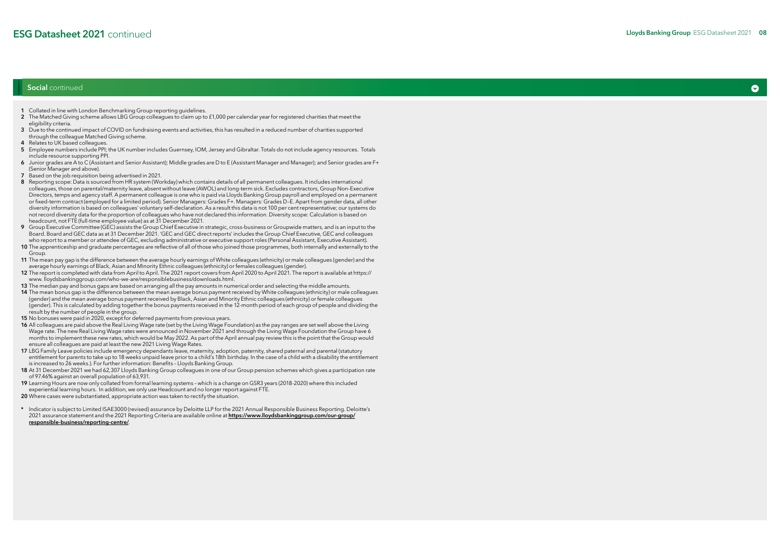### Social continued

- 1 Collated in line with London Benchmarking Group reporting guidelines.
- 2 The Matched Giving scheme allows LBG Group colleagues to claim up to £1,000 per calendar year for registered charities that meet the eligibility criteria.
- 3 Due to the continued impact of COVID on fundraising events and activities, this has resulted in a reduced number of charities supported through the colleague Matched Giving scheme.
- 4 Relates to UK based colleagues.
- 5 Employee numbers include PPI; the UK number includes Guernsey, IOM, Jersey and Gibraltar. Totals do not include agency resources. Totals include resource supporting PPI.
- 6 Junior grades are A to C (Assistant and Senior Assistant); Middle grades are D to E (Assistant Manager and Manager); and Senior grades are F+ (Senior Manager and above).
- 7 Based on the job requisition being advertised in 2021.
- 8 Reporting scope: Data is sourced from HR system (Workday) which contains details of all permanent colleagues. It includes international colleagues, those on parental/maternity leave, absent without leave (AWOL) and long-term sick. Excludes contractors, Group Non-Executive Directors, temps and agency staff. A permanent colleague is one who is paid via Lloyds Banking Group payroll and employed on a permanent or fixed-term contract (employed for a limited period). Senior Managers: Grades F+. Managers: Grades D–E. Apart from gender data, all other diversity information is based on colleagues' voluntary self-declaration. As a result this data is not 100 per cent representative; our systems do not record diversity data for the proportion of colleagues who have not declared this information. Diversity scope: Calculation is based on headcount, not FTE (full-time employee value) as at 31 December 2021.
- 9 Group Executive Committee (GEC) assists the Group Chief Executive in strategic, cross-business or Groupwide matters, and is an input to the Board. Board and GEC data as at 31 December 2021. 'GEC and GEC direct reports' includes the Group Chief Executive, GEC and colleagues who report to a member or attendee of GEC, excluding administrative or executive support roles (Personal Assistant, Executive Assistant).
- 10 The apprenticeship and graduate percentages are reflective of all of those who joined those programmes, both internally and externally to the Group
- 11 The mean pay gap is the difference between the average hourly earnings of White colleagues (ethnicity) or male colleagues (gender) and the average hourly earnings of Black, Asian and Minority Ethnic colleagues (ethnicity) or females colleagues (gender).
- 12 The report is completed with data from April to April. The 2021 report covers from April 2020 to April 2021. The report is available at https:// www. lloydsbankinggroup.com/who-we-are/responsiblebusiness/downloads.html.
- 13 The median pay and bonus gaps are based on arranging all the pay amounts in numerical order and selecting the middle amounts.
- 14 The mean bonus gap is the difference between the mean average bonus payment received by White colleagues (ethnicity) or male colleagues (gender) and the mean average bonus payment received by Black, Asian and Minority Ethnic colleagues (ethnicity) or female colleagues (gender). This is calculated by adding together the bonus payments received in the 12-month period of each group of people and dividing the result by the number of people in the group.
- 15 No bonuses were paid in 2020, except for deferred payments from previous years.
- 16 All colleagues are paid above the Real Living Wage rate (set by the Living Wage Foundation) as the pay ranges are set well above the Living Wage rate. The new Real Living Wage rates were announced in November 2021 and through the Living Wage Foundation the Group have 6 months to implement these new rates, which would be May 2022. As part of the April annual pay review this is the point that the Group would ensure all colleagues are paid at least the new 2021 Living Wage Rates.
- 17 LBG Family Leave policies include emergency dependants leave, maternity, adoption, paternity, shared paternal and parental (statutory entitlement for parents to take up to 18 weeks unpaid leave prior to a child's 18th birthday. In the case of a child with a disability the entitlement is increased to 26 weeks.). For further information: Benefits – Lloyds Banking Group.
- 18 At 31 December 2021 we had 62,307 Lloyds Banking Group colleagues in one of our Group pension schemes which gives a participation rate of 97.46% against an overall population of 63,931.
- 19 Learning Hours are now only collated from formal learning systems which is a change on GSR3 years (2018-2020) where this included experiential learning hours. In addition, we only use Headcount and no longer report against FTE.
- 20 Where cases were substantiated, appropriate action was taken to rectify the situation.
- \* Indicator is subject to Limited ISAE3000 (revised) assurance by Deloitte LLP for the 2021 Annual Responsible Business Reporting. Deloitte's 2021 assurance statement and the 2021 Reporting Criteria are available online at [https://www.lloydsbankinggroup.com/our-group/](https://www.lloydsbankinggroup.com/our-group/responsible-business/reporting-centre/) [responsible-business/reporting-centre/](https://www.lloydsbankinggroup.com/our-group/responsible-business/reporting-centre/).